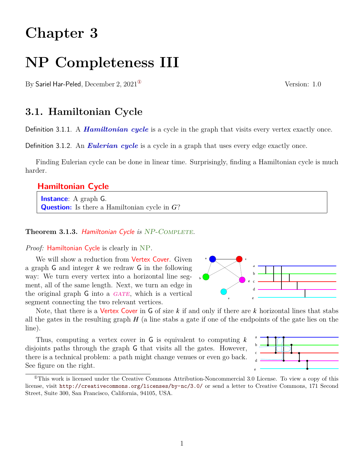# **Chapter 3**

# **NP Completeness III**

By Sariel Har-Peled, December 2,  $2021^{\circ}$  Version: 1.0

## **3.1. Hamiltonian Cycle**

Definition 3.1.1. A *Hamiltonian cycle* is a cycle in the graph that visits every vertex exactly once.

Definition 3.1.2. An *Eulerian cycle* is a cycle in a graph that uses every edge exactly once.

Finding Eulerian cycle can be done in linear time. Surprisingly, finding a Hamiltonian cycle is much harder.

### **Hamiltonian Cycle**

**Instance**: A graph G. **Question:** Is there a Hamiltonian cycle in G?

**Theorem 3.1.3. Hamiltonian Cycle is NP-COMPLETE.** 

*Proof:* Hamiltonian Cycle is clearly in NP.

We will show a reduction from **Vertex Cover**. Given a graph  $G$  and integer  $k$  we redraw  $G$  in the following way: We turn every vertex into a horizontal line segment, all of the same length. Next, we turn an edge in the original graph  $G$  into a  $GATE$ , which is a vertical segment connecting the two relevant vertices.



Note, that there is a Vertex Cover in G of size  $k$  if and only if there are  $k$  horizontal lines that stabs all the gates in the resulting graph  $H$  (a line stabs a gate if one of the endpoints of the gate lies on the line).

Thus, computing a vertex cover in  $G$  is equivalent to computing  $k$ disjoints paths through the graph G that visits all the gates. However, there is a technical problem: a path might change venues or even go back. See figure on the right.



<span id="page-0-0"></span> $^{\circ}$ This work is licensed under the Creative Commons Attribution-Noncommercial 3.0 License. To view a copy of this license, visit <http://creativecommons.org/licenses/by-nc/3.0/> or send a letter to Creative Commons, 171 Second Street, Suite 300, San Francisco, California, 94105, USA.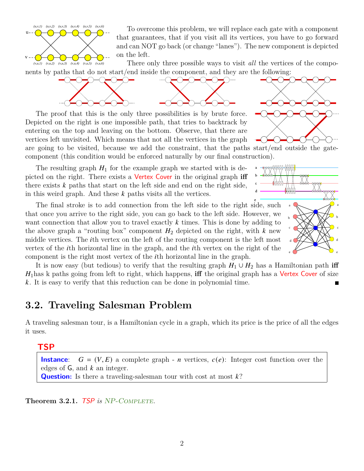

To overcome this problem, we will replace each gate with a component that guarantees, that if you visit all its vertices, you have to go forward and can NOT go back (or change "lanes"). The new component is depicted on the left.

There only three possible ways to visit *all* the vertices of the components by paths that do not start/end inside the component, and they are the following:



The proof that this is the only three possibilities is by brute force. Depicted on the right is one impossible path, that tries to backtrack by entering on the top and leaving on the bottom. Observe, that there are vertices left unvisited. Which means that not all the vertices in the graph

are going to be visited, because we add the constraint, that the paths start/end outside the gatecomponent (this condition would be enforced naturally by our final construction).

The resulting graph  $H_1$  for the example graph we started with is depicted on the right. There exists a Vertex Cover in the original graph **iff** there exists  $k$  paths that start on the left side and end on the right side, in this weird graph. And these  $k$  paths visits all the vertices.

The final stroke is to add connection from the left side to the right side, such that once you arrive to the right side, you can go back to the left side. However, we want connection that allow you to travel exactly  $k$  times. This is done by adding to the above graph a "routing box" component  $H_2$  depicted on the right, with k new middle vertices. The *i*th vertex on the left of the routing component is the left most vertex of the *i*th horizontal line in the graph, and the *i*th vertex on the right of the component is the right most vertex of the th horizontal line in the graph.

It is now easy (but tedious) to verify that the resulting graph  $H_1 \cup H_2$  has a Hamiltonian path **iff**  $H_1$ has k paths going from left to right, which happens, **iff** the original graph has a Vertex Cover of size . It is easy to verify that this reduction can be done in polynomial time.  $\blacksquare$ 

### **3.2. Traveling Salesman Problem**

A traveling salesman tour, is a Hamiltonian cycle in a graph, which its price is the price of all the edges it uses.

#### **TSP**

**Instance:**  $G = (V, E)$  a complete graph - *n* vertices,  $c(e)$ : Integer cost function over the edges of  $G$ , and  $k$  an integer.

**Question:** Is there a traveling-salesman tour with cost at most  $k$ ?

Theorem 3.2.1. TSP is NP-COMPLETE.



 $\overline{d}$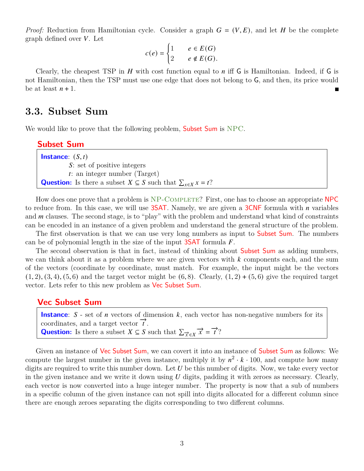*Proof:* Reduction from Hamiltonian cycle. Consider a graph  $G = (V, E)$ , and let *H* be the complete graph defined over  $V$ . Let

$$
c(e) = \begin{cases} 1 & e \in E(G) \\ 2 & e \notin E(G). \end{cases}
$$

Clearly, the cheapest TSP in  $H$  with cost function equal to  $n$  iff G is Hamiltonian. Indeed, if G is not Hamiltonian, then the TSP must use one edge that does not belong to G, and then, its price would be at least  $n + 1$ .

### **3.3. Subset Sum**

We would like to prove that the following problem, **Subset Sum** is NPC.

### **Subset Sum**

**Instance:**  $(S, t)$ : set of positive integers : an integer number (Target) **Question:** Is there a subset  $X \subseteq S$  such that  $\sum_{x \in X} x = t$ ?

How does one prove that a problem is NP-COMPLETE? First, one has to choose an appropriate NPC to reduce from. In this case, we will use  $3SAT$ . Namely, we are given a  $3CNF$  formula with *n* variables and  $m$  clauses. The second stage, is to "play" with the problem and understand what kind of constraints can be encoded in an instance of a given problem and understand the general structure of the problem.

The first observation is that we can use very long numbers as input to Subset Sum. The numbers can be of polynomial length in the size of the input  $3SAT$  formula F.

The second observation is that in fact, instead of thinking about **Subset Sum** as adding numbers, we can think about it as a problem where we are given vectors with  $k$  components each, and the sum of the vectors (coordinate by coordinate, must match. For example, the input might be the vectors  $(1, 2), (3, 4), (5, 6)$  and the target vector might be  $(6, 8)$ . Clearly,  $(1, 2) + (5, 6)$  give the required target vector. Lets refer to this new problem as Vec Subset Sum.

#### **Vec Subset Sum**

**Instance:**  $S$  - set of *n* vectors of dimension  $k$ , each vector has non-negative numbers for its coordinates, and a target vector  $\vec{t}$ . **Question:** Is there a subset  $X \subseteq S$  such that  $\sum_{\vec{x} \in X} \vec{x} = \vec{t}$ ?

Given an instance of Vec Subset Sum, we can covert it into an instance of Subset Sum as follows: We compute the largest number in the given instance, multiply it by  $n^2 \cdot k \cdot 100$ , and compute how many digits are required to write this number down. Let  $U$  be this number of digits. Now, we take every vector in the given instance and we write it down using  $U$  digits, padding it with zeroes as necessary. Clearly, each vector is now converted into a huge integer number. The property is now that a sub of numbers in a specific column of the given instance can not spill into digits allocated for a different column since there are enough zeroes separating the digits corresponding to two different columns.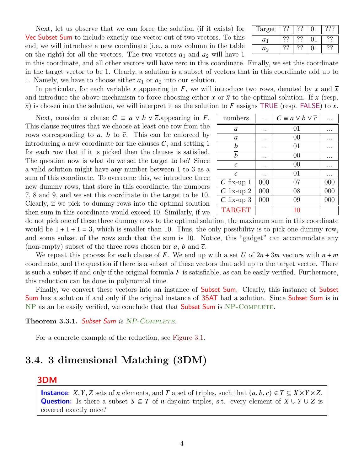Next, let us observe that we can force the solution (if it exists) for Vec Subset Sum to include exactly one vector out of two vectors. To this end, we will introduce a new coordinate (i.e., a new column in the table on the right) for all the vectors. The two vectors  $a_1$  and  $a_2$  will have 1

| Target         |  |  |
|----------------|--|--|
| $a_1$          |  |  |
| a <sub>2</sub> |  |  |

in this coordinate, and all other vectors will have zero in this coordinate. Finally, we set this coordinate in the target vector to be 1. Clearly, a solution is a subset of vectors that in this coordinate add up to 1. Namely, we have to choose either  $a_1$  or  $a_2$  into our solution.

In particular, for each variable x appearing in F, we will introduce two rows, denoted by x and  $\bar{x}$ and introduce the above mechanism to force choosing either x or  $\bar{x}$  to the optimal solution. If x (resp.  $\bar{x}$ ) is chosen into the solution, we will interpret it as the solution to F assigns TRUE (resp. FALSE) to x.

Next, consider a clause  $C \equiv a \vee b \vee \overline{c}$  appearing in  $F$ . This clause requires that we choose at least one row from the rows corresponding to a, b to  $\bar{c}$ . This can be enforced by introducing a new coordinate for the clauses  $C$ , and setting 1 for each row that if it is picked then the clauses is satisfied. The question now is what do we set the target to be? Since a valid solution might have any number between 1 to 3 as a sum of this coordinate. To overcome this, we introduce three new dummy rows, that store in this coordinate, the numbers 7, 8 and 9, and we set this coordinate in the target to be 10. Clearly, if we pick to dummy rows into the optimal solution then sum in this coordinate would exceed 10. Similarly, if we

| numbers                 |     | $C \equiv a \vee b \vee \overline{c}$ |     |
|-------------------------|-----|---------------------------------------|-----|
| a                       |     | 01                                    |     |
| $\overline{a}$          |     | 00                                    |     |
| h                       |     | 01                                    |     |
| $\boldsymbol{b}$        |     | 00                                    |     |
| $\mathcal{C}$           |     | 00                                    |     |
| $\overline{c}$          |     | 01                                    |     |
| $C$ fix-up 1            | 000 | 07                                    | 000 |
| $\overline{C}$ fix-up 2 | 000 | 08                                    | 000 |
| $C$ fix-up 3            | 000 | 09                                    | 000 |
| <b>TARGET</b>           |     | 10                                    |     |

do not pick one of these three dummy rows to the optimal solution, the maximum sum in this coordinate would be  $1 + 1 + 1 = 3$ , which is smaller than 10. Thus, the only possibility is to pick one dummy row, and some subset of the rows such that the sum is 10. Notice, this "gadget" can accommodate any (non-empty) subset of the three rows chosen for a, b and  $\bar{c}$ .

We repeat this process for each clause of F. We end up with a set U of  $2n + 3m$  vectors with  $n + m$ coordinate, and the question if there is a subset of these vectors that add up to the target vector. There is such a subset if and only if the original formula  $F$  is satisfiable, as can be easily verified. Furthermore, this reduction can be done in polynomial time.

Finally, we convert these vectors into an instance of Subset Sum. Clearly, this instance of Subset Sum has a solution if and only if the original instance of 3SAT had a solution. Since Subset Sum is in NP as an be easily verified, we conclude that that Subset Sum is NP-COMPLETE.

Theorem 3.3.1. Subset Sum *is* NP-COMPLETE.

For a concrete example of the reduction, see [Figure 3.1.](#page-4-0)

### **3.4. 3 dimensional Matching (3DM)**

#### **3DM**

**Instance**:  $X, Y, Z$  sets of *n* elements, and *T* a set of triples, such that  $(a, b, c) \in T \subseteq X \times Y \times Z$ . **Question:** Is there a subset  $S \subseteq T$  of *n* disjoint triples, s.t. every element of  $X \cup Y \cup Z$  is covered exactly once?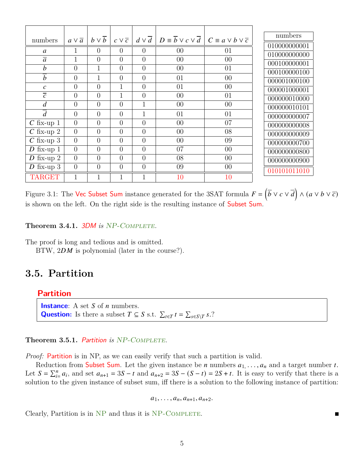<span id="page-4-0"></span>

| numbers          | $a \vee \overline{a}$ | $b \vee b$     | $c \vee \overline{c}$ | $d \vee \overline{d}$ | $D \equiv \overline{b} \vee c \vee \overline{d}$ | $C \equiv a \vee b \vee \overline{c}$ | numbers      |
|------------------|-----------------------|----------------|-----------------------|-----------------------|--------------------------------------------------|---------------------------------------|--------------|
|                  |                       |                |                       |                       |                                                  |                                       | 010000000001 |
| a                |                       | $\theta$       | $\theta$              | $\theta$              | $00\,$                                           | 01                                    | 010000000000 |
| $\overline{a}$   | $\mathbf{1}$          | $\overline{0}$ | $\overline{0}$        | $\theta$              | $00\,$                                           | $00\,$                                | 000100000001 |
| $\boldsymbol{b}$ | $\theta$              | $\mathbf{1}$   | $\overline{0}$        | $\theta$              | $00\,$                                           | 01                                    | 000100000100 |
| $\overline{b}$   | $\theta$              | $\mathbf{1}$   | $\theta$              | $\theta$              | 01                                               | $00\,$                                |              |
| $\mathcal{C}$    | $\overline{0}$        | $\theta$       | 1                     | $\theta$              | 01                                               | $00\,$                                | 000001000100 |
| $\overline{c}$   |                       |                |                       |                       |                                                  |                                       | 000001000001 |
|                  | $\overline{0}$        | $\theta$       | $\mathbf{1}$          | $\theta$              | $00\,$                                           | 01                                    | 000000010000 |
| $\overline{d}$   | $\theta$              | $\theta$       | $\overline{0}$        | 1                     | $00\,$                                           | $00\,$                                | 000000010101 |
| $\overline{d}$   | $\theta$              | $\theta$       | $\overline{0}$        | 1                     | 01                                               | 01                                    | 000000000007 |
| $C$ fix-up 1     | $\theta$              | $\theta$       | $\theta$              | $\theta$              | 0 <sub>0</sub>                                   | 07                                    | 000000000008 |
| $C$ fix-up 2     | $\theta$              | $\theta$       | $\overline{0}$        | $\theta$              | $00\,$                                           | 08                                    | 000000000009 |
| $C$ fix-up 3     | $\theta$              | $\theta$       | $\theta$              | $\theta$              | 00                                               | 09                                    | 000000000700 |
| $fix-up 1$<br>D  | $\theta$              | $\theta$       | $\theta$              | $\theta$              | 07                                               | $00\,$                                | 000000000800 |
| $D$ fix-up 2     | $\theta$              | $\theta$       | $\overline{0}$        | $\theta$              | 08                                               | $00\,$                                | 000000000900 |
| $D$ fix-up 3     | $\theta$              | $\theta$       | $\overline{0}$        | $\theta$              | 09                                               | $00\,$                                | 010101011010 |
| <b>TARGET</b>    | 1                     | $\mathbf{1}$   | 1                     | $\overline{1}$        | 10                                               | 10                                    |              |

Figure 3.1: The Vec Subset Sum instance generated for the 3SAT formula  $F = (\overline{b} \vee c \vee \overline{d}) \wedge (a \vee b \vee \overline{c})$ is shown on the left. On the right side is the resulting instance of Subset Sum.

Theorem 3.4.1. 3DM is NP-COMPLETE.

The proof is long and tedious and is omitted.

BTW,  $2DM$  is polynomial (later in the course?).

### **3.5. Partition**

### **Partition**

**Instance**: A set *S* of *n* numbers. **Question:** Is there a subset  $T \subseteq S$  s.t.  $\sum_{t \in T} t = \sum_{s \in S \setminus T} s$ .?

#### Theorem 3.5.1. Partition is NP-COMPLETE.

*Proof:* Partition is in NP, as we can easily verify that such a partition is valid.

Reduction from Subset Sum. Let the given instance be *n* numbers  $a_1, \ldots, a_n$  and a target number *t*. Let  $S = \sum_{i=1}^{n} a_i$ , and set  $a_{n+1} = 3S - t$  and  $a_{n+2} = 3S - (S - t) = 2S + t$ . It is easy to verify that there is a solution to the given instance of subset sum, iff there is a solution to the following instance of partition:

#### $a_1, \ldots, a_n, a_{n+1}, a_{n+2}.$

Clearly, Partition is in NP and thus it is NP-Complete.

П